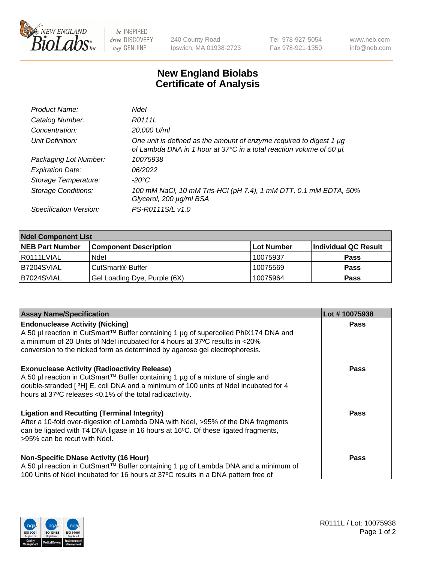

 $be$  INSPIRED drive DISCOVERY stay GENUINE

240 County Road Ipswich, MA 01938-2723 Tel 978-927-5054 Fax 978-921-1350 www.neb.com info@neb.com

## **New England Biolabs Certificate of Analysis**

| Product Name:              | Ndel                                                                                                                                             |
|----------------------------|--------------------------------------------------------------------------------------------------------------------------------------------------|
| Catalog Number:            | R0111L                                                                                                                                           |
| Concentration:             | 20,000 U/ml                                                                                                                                      |
| Unit Definition:           | One unit is defined as the amount of enzyme required to digest 1 $\mu$ g<br>of Lambda DNA in 1 hour at 37°C in a total reaction volume of 50 µl. |
| Packaging Lot Number:      | 10075938                                                                                                                                         |
| <b>Expiration Date:</b>    | 06/2022                                                                                                                                          |
| Storage Temperature:       | $-20^{\circ}$ C                                                                                                                                  |
| <b>Storage Conditions:</b> | 100 mM NaCl, 10 mM Tris-HCl (pH 7.4), 1 mM DTT, 0.1 mM EDTA, 50%<br>Glycerol, 200 µg/ml BSA                                                      |
| Specification Version:     | PS-R0111S/L v1.0                                                                                                                                 |

| <b>Ndel Component List</b> |                              |            |                      |  |  |
|----------------------------|------------------------------|------------|----------------------|--|--|
| <b>NEB Part Number</b>     | <b>Component Description</b> | Lot Number | Individual QC Result |  |  |
| R0111LVIAL                 | Ndel                         | 10075937   | <b>Pass</b>          |  |  |
| B7204SVIAL                 | CutSmart <sup>®</sup> Buffer | 10075569   | <b>Pass</b>          |  |  |
| B7024SVIAL                 | Gel Loading Dye, Purple (6X) | 10075964   | <b>Pass</b>          |  |  |

| <b>Assay Name/Specification</b>                                                                                                                                                                                                                                                             | Lot #10075938 |
|---------------------------------------------------------------------------------------------------------------------------------------------------------------------------------------------------------------------------------------------------------------------------------------------|---------------|
| <b>Endonuclease Activity (Nicking)</b><br>A 50 µl reaction in CutSmart™ Buffer containing 1 µg of supercoiled PhiX174 DNA and                                                                                                                                                               | <b>Pass</b>   |
| a minimum of 20 Units of Ndel incubated for 4 hours at 37°C results in <20%<br>conversion to the nicked form as determined by agarose gel electrophoresis.                                                                                                                                  |               |
| <b>Exonuclease Activity (Radioactivity Release)</b><br>  A 50 µl reaction in CutSmart™ Buffer containing 1 µg of a mixture of single and<br>double-stranded [3H] E. coli DNA and a minimum of 100 units of Ndel incubated for 4<br>hours at 37°C releases <0.1% of the total radioactivity. | <b>Pass</b>   |
| <b>Ligation and Recutting (Terminal Integrity)</b><br>After a 10-fold over-digestion of Lambda DNA with Ndel, >95% of the DNA fragments<br>can be ligated with T4 DNA ligase in 16 hours at 16 $\degree$ C. Of these ligated fragments,<br>l >95% can be recut with Ndel.                   | Pass          |
| Non-Specific DNase Activity (16 Hour)<br>A 50 µl reaction in CutSmart™ Buffer containing 1 µg of Lambda DNA and a minimum of<br>100 Units of Ndel incubated for 16 hours at 37°C results in a DNA pattern free of                                                                           | Pass          |